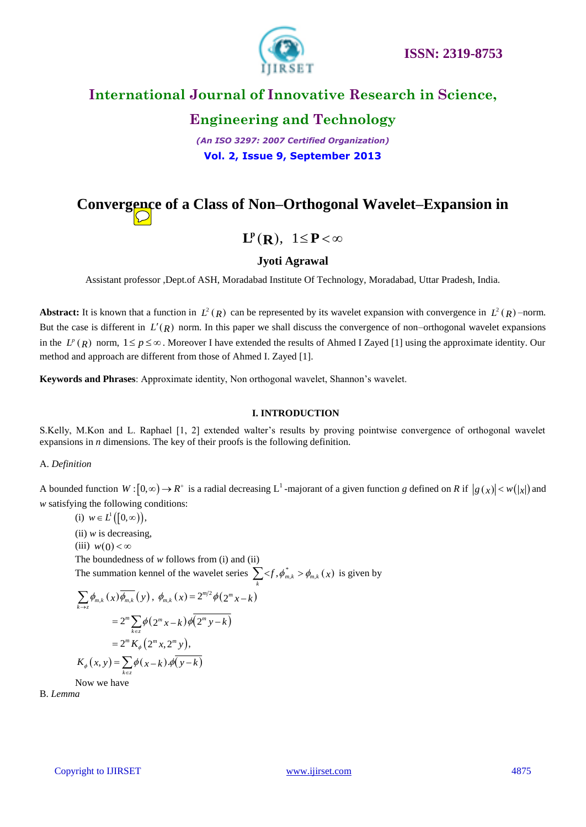

# **Engineering and Technology**

*(An ISO 3297: 2007 Certified Organization)* **Vol. 2, Issue 9, September 2013**

# **Convergence of a Class of Non–Orthogonal Wavelet–Expansion in**

# $\mathbf{L}^{\mathbf{p}}(\mathbf{R}), \quad 1 \leq \mathbf{P} < \infty$

### **Jyoti Agrawal**

Assistant professor ,Dept.of ASH, Moradabad Institute Of Technology, Moradabad, Uttar Pradesh, India.

Abstract: It is known that a function in  $L^2(R)$  can be represented by its wavelet expansion with convergence in  $L^2(R)$  –norm. But the case is different in  $L'(R)$  norm. In this paper we shall discuss the convergence of non–orthogonal wavelet expansions in the  $L^p(R)$  norm,  $1 \le p \le \infty$ . Moreover I have extended the results of Ahmed I Zayed [1] using the approximate identity. Our method and approach are different from those of Ahmed I. Zayed [1].

**Keywords and Phrases**: Approximate identity, Non orthogonal wavelet, Shannon's wavelet.

#### **I. INTRODUCTION**

S.Kelly, M.Kon and L. Raphael [1, 2] extended walter's results by proving pointwise convergence of orthogonal wavelet expansions in *n* dimensions. The key of their proofs is the following definition.

### A. *Definition*

A bounded function  $W: [0, \infty) \to R^+$  is a radial decreasing L<sup>1</sup>-majorant of a given function g defined on R if  $|g(x)| < w(|x|)$  and *w* satisfying the following conditions:

(i) 
$$
w \in L^1([0, \infty))
$$
,  
\n(ii)  $w$  is decreasing,  
\n(iii)  $w(0) < \infty$   
\nThe boundedness of  $w$  follows from (i) and (ii)  
\nThe summation kennel of the wavelet series  $\sum_k  \phi_{m,k}(x)$  is given by  
\n
$$
\sum_{k \to z} \phi_{m,k}(x) \overline{\phi_{m,k}}(y), \phi_{m,k}(x) = 2^{m/2} \phi(2^m x - k)
$$
\n
$$
= 2^m \sum_{k \in z} \phi(2^m x - k) \overline{\phi(2^m y - k)}
$$
\n
$$
= 2^m K_{\phi}(2^m x, 2^m y),
$$
\n
$$
K_{\phi}(x, y) = \sum_{k \in z} \phi(x - k) \cdot \overline{\phi(y - k)}
$$

Now we have

B. *Lemma*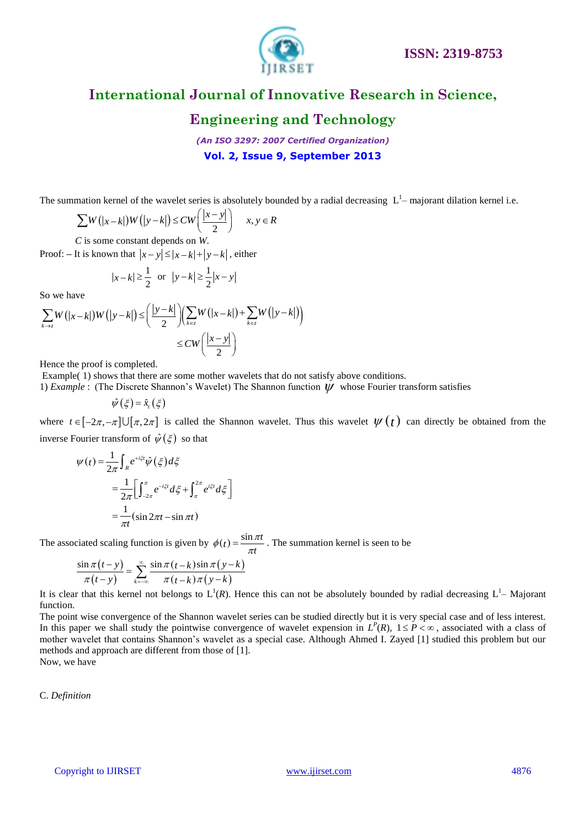

# **Engineering and Technology**

*(An ISO 3297: 2007 Certified Organization)* **Vol. 2, Issue 9, September 2013**

The summation Kernel of the wavelet series is absolutely bounded by a radial decreasing L<sup>1</sup>-majorant dilation kernel i.e.  
\n
$$
\sum W(|x-k|)W(|y-k|) \le CW\left(\frac{|x-y|}{2}\right) \quad x, y \in R
$$

*C* is some constant depends on *W*.

Proof:  $-$  It is known that  $|x-y| \le |x-k| + |y-k|$ , either

$$
|x-k| \ge \frac{1}{2}
$$
 or  $|y-k| \ge \frac{1}{2}|x-y|$ 

So we have

$$
|x-k| \ge \frac{1}{2} \text{ or } |y-k| \ge \frac{1}{2}|x-y|
$$
  
So we have  

$$
\sum_{k \to z} W(|x-k|)W(|y-k|) \le \left(\frac{|y-k|}{2}\right) \left(\sum_{k \in z} W(|x-k|) + \sum_{k \in z} W(|y-k|)\right)
$$

$$
\le CW \left(\frac{|x-y|}{2}\right)
$$

Hence the proof is completed.

Example(1) shows that there are some mother wavelets that do not satisfy above conditions.

1) *Example* : (The Discrete Shannon's Wavelet) The Shannon function  $\psi$  whose Fourier transform satisfies

 $\hat{\psi}(\xi) = \hat{x}_{i}(\xi)$ 

where  $t \in [-2\pi, -\pi] \cup [\pi, 2\pi]$  is called the Shannon wavelet. Thus this wavelet  $\psi(t)$  can directly be obtained from the inverse Fourier transform of  $\hat{\psi}(\xi)$  so that

$$
\psi(t) = \frac{1}{2\pi} \int_{R} e^{+i\xi t} \hat{\psi}(\xi) d\xi
$$
  
= 
$$
\frac{1}{2\pi} \Biggl[ \int_{-2\pi}^{\pi} e^{-i\xi t} d\xi + \int_{\pi}^{2\pi} e^{i\xi t} d\xi \Biggr]
$$
  
= 
$$
\frac{1}{\pi t} (\sin 2\pi t - \sin \pi t)
$$

The associated scaling function is given by  $\phi(t) = \frac{\sin \pi t}{\pi t}$  $\phi(t) = \frac{\sin \pi t}{\pi t}$ . The summation kernel is seen to be

$$
\frac{\sin \pi (t - y)}{\pi (t - y)} = \sum_{k=-\infty}^{\infty} \frac{\sin \pi (t - k) \sin \pi (y - k)}{\pi (t - k) \pi (y - k)}
$$

It is clear that this kernel not belongs to  $L^1(R)$ . Hence this can not be absolutely bounded by radial decreasing  $L^1$ – Majorant function.

The point wise convergence of the Shannon wavelet series can be studied directly but it is very special case and of less interest. In this paper we shall study the pointwise convergence of wavelet expension in  $L^p(R)$ ,  $1 \leq P < \infty$ , associated with a class of mother wavelet that contains Shannon's wavelet as a special case. Although Ahmed I. Zayed [1] studied this problem but our methods and approach are different from those of [1]. Now, we have

C. *Definition*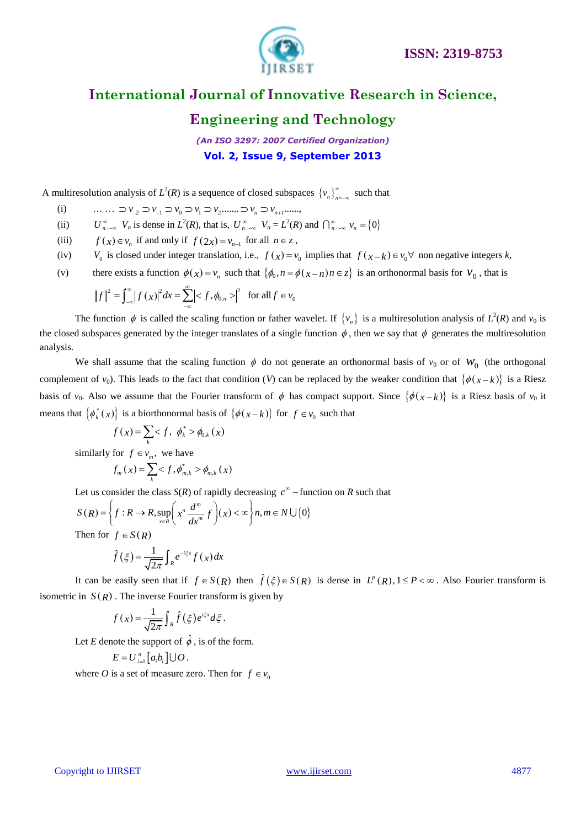

### **Engineering and Technology**

*(An ISO 3297: 2007 Certified Organization)* **Vol. 2, Issue 9, September 2013**

A multiresolution analysis of  $L^2(R)$  is a sequence of closed subspaces  $\{v_n\}_{n=1}^{\infty}$  $\sum_{n=-\infty}^{\infty}$  such that

- nultires olution analysis of  $L^2(R)$  is a sequence of closed subspa<br>
(i)  $\qquad \qquad \ldots \qquad \supset \nu_{-2} \supset \nu_{-1} \supset \nu_0 \supset \nu_1 \supset \nu_2 \ldots \supset \nu_n \supset \nu_{n+1} \ldots \ldots$
- (ii)  $U_{n=-\infty}^{\infty}$   $V_n$  is dense in  $L^2(R)$ , that is,  $U_{n=-\infty}^{\infty}$   $V_n = L^2(R)$  and  $\bigcap_{n=-\infty}^{\infty}$   $v_n = \{0\}$
- (iii)  $f(x) \in v_n$  if and only if  $f(2x) = v_{n-1}$  for all  $n \in \mathbb{Z}$ ,
- (iv) *V*<sub>0</sub> is closed under integer translation, i.e.,  $f(x) = v_0$  implies that  $f(x-k) \in v_0 \forall$  non negative integers *k*,
- (v) there exists a function  $\phi(x) = v_n$  such that  $\{\phi_0, n = \phi(x n) n \in z\}$  is an orthonormal basis for  $v_0$ , that is  $||f||^2 = \int_{-\infty}^{\infty} |f(x)|^2 dx = \sum_{n=1}^{\infty} |f(x)|^2 dx$ ,  $|\phi_n| = \int_{-\infty}^{\infty} |f(x)|^2 dx$ ,  $|\phi_n| = \int_{-\infty}^{\infty} |f(x)|^2 dx$ ,  $|\$

$$
||f||^2 = \int_{-\infty}^{\infty} |f(x)|^2 dx = \sum_{-\infty}^{\infty} |f(x)|^2 \text{ for all } f \in V_0
$$

The function  $\phi$  is called the scaling function or father wavelet. If  $\{v_n\}$  is a multiresolution analysis of  $L^2(R)$  and  $v_0$  is the closed subspaces generated by the integer translates of a single function  $\phi$ , then we say that  $\phi$  generates the multiresolution analysis.

We shall assume that the scaling function  $\phi$  do not generate an orthonormal basis of  $v_0$  or of  $W_0$  (the orthogonal complement of  $v_0$ ). This leads to the fact that condition (*V*) can be replaced by the weaker condition that  $\{\phi(x-k)\}\$ is a Riesz basis of  $v_0$ . Also we assume that the Fourier transform of  $\phi$  has compact support. Since  $\{\phi(x-k)\}\$ is a Riesz basis of  $v_0$  it means that  $\{\phi_k^*(x)\}\$ is a biorthonormal basis of  $\{\phi(x-k)\}\$  for  $f \in v_0$  such that

$$
f(x) = \sum_{k} \langle f, \phi_{k}^{*} \rangle \phi_{0,k}(x)
$$

similarly for  $f \in v_m$ , we have

$$
f_m(x) = \sum_{k}^{m}  \phi_{m,k}(x)
$$

.

Let us consider the class 
$$
S(R)
$$
 of rapidly decreasing  $c^{\infty}$  – function on  $R$  such that\n
$$
S(R) = \left\{ f: R \to R, \sup_{x \in R} \left( x^n \frac{d^m}{dx^m} f \right) (x) < \infty \right\} n, m \in N \cup \{0\}
$$

Then for  $f \in S(R)$ 

$$
\hat{f}(\xi) = \frac{1}{\sqrt{2\pi}} \int_{R} e^{-i\xi x} f(x) dx
$$

It can be easily seen that if  $f \in S(R)$  then  $\hat{f}(\xi) \in S(R)$  is dense in  $L^p(R)$ ,  $1 \leq P < \infty$ . Also Fourier transform is isometric in  $S(R)$ . The inverse Fourier transform is given by

$$
f(x) = \frac{1}{\sqrt{2\pi}} \int_{R} \hat{f}(\xi) e^{i\xi x} d\xi
$$

Let *E* denote the support of  $\hat{\phi}$ , is of the form.

$$
E=U_{i=1}^n[a_ib_i]\cup O.
$$

where *O* is a set of measure zero. Then for  $f \in v_0$ 

### Copyright to IJIRSET [www.ijirset.com](http://www.ijirset.com/) 4877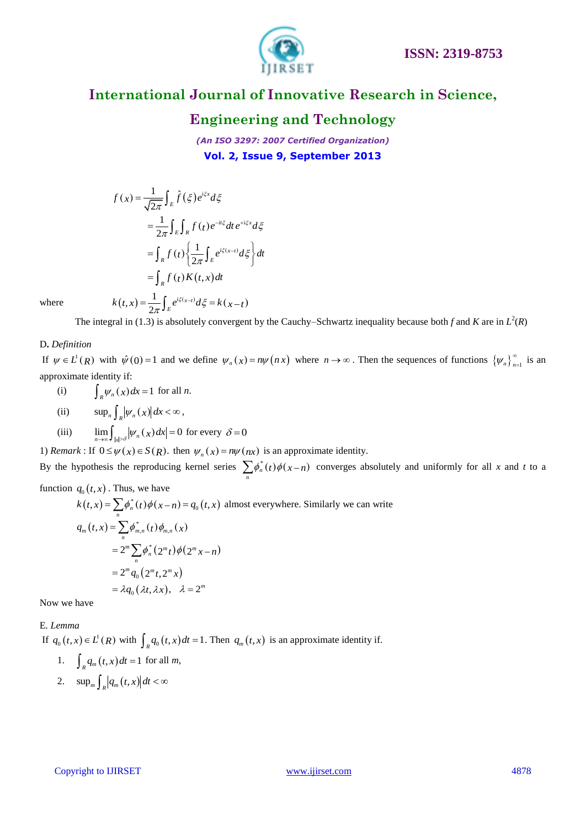

# **Engineering and Technology**

*(An ISO 3297: 2007 Certified Organization)* **Vol. 2, Issue 9, September 2013**

$$
f(x) = \frac{1}{\sqrt{2\pi}} \int_{E} \hat{f}(\xi) e^{i\xi x} d\xi
$$
  

$$
= \frac{1}{2\pi} \int_{E} \int_{R} f(t) e^{-it\xi} dt e^{+i\xi x} d\xi
$$
  

$$
= \int_{R} f(t) \left\{ \frac{1}{2\pi} \int_{E} e^{i\xi(x-t)} d\xi \right\} dt
$$
  

$$
= \int_{R} f(t) K(t, x) dt
$$
  

$$
k(t, x) = \frac{1}{2\pi} \int_{E} e^{i\xi(x-t)} d\xi = k(x-t)
$$

where

The integral in (1.3) is absolutely convergent by the Cauchy–Schwartz inequality because both *f* and *K* are in  $L^2(R)$ 

### D**.** *Definition*

If  $\psi \in L^1(R)$  with  $\hat{\psi}(0) = 1$  and we define  $\psi_n(x) = n\psi(nx)$  where  $n \to \infty$ . Then the sequences of functions  $\{\psi_n\}_{n=1}^{\infty}$  $\int_{-1}$  is an approximate identity if:

- (i)  $\int_{R} \psi_n(x) dx = 1$  for all *n*.
- (ii)  $\sup_n \int_R |\psi_n(x)| dx < \infty$ ,
- (iii)  $\lim_{n\to\infty} \int_{|x|>\delta} |\psi_n(x)| dx = 0$  for every  $\delta = 0$

1) *Remark*: If  $0 \le \psi(x) \in S(R)$ . then  $\psi_n(x) = n\psi(nx)$  is an approximate identity.

By the hypothesis the reproducing kernel series  $\sum_{n} \phi_n^*(t) \phi(x-n)$  converges absolutely and uniformly for all *x* and *t* to a

function  $q_0(t, x)$ . Thus, we have

$$
q_0(t,x) \cdot \text{ has, we have}
$$
\n
$$
k(t,x) = \sum_n \phi_n^*(t)\phi(x-n) = q_0(t,x) \text{ almost everywhere. Similarly we can write}
$$
\n
$$
q_m(t,x) = \sum_n \phi_{m,n}^*(t)\phi_{m,n}(x)
$$
\n
$$
= 2^m \sum_n \phi_n^*(2^m t)\phi(2^m x - n)
$$
\n
$$
= 2^m q_0 (2^m t, 2^m x)
$$
\n
$$
= \lambda q_0 (\lambda t, \lambda x), \quad \lambda = 2^m
$$

Now we have

### E*. Lemma*

If  $q_0(t, x) \in L^1(R)$  with  $\int_R q_0(t, x) dt = 1$ . Then  $q_m(t, x)$  is an approximate identity if.

- 1.  $\int_{R} q_m(t, x) dt = 1$  for all *m*,
- 2.  $\sup_m \int_R |q_m(t,x)| dt < \infty$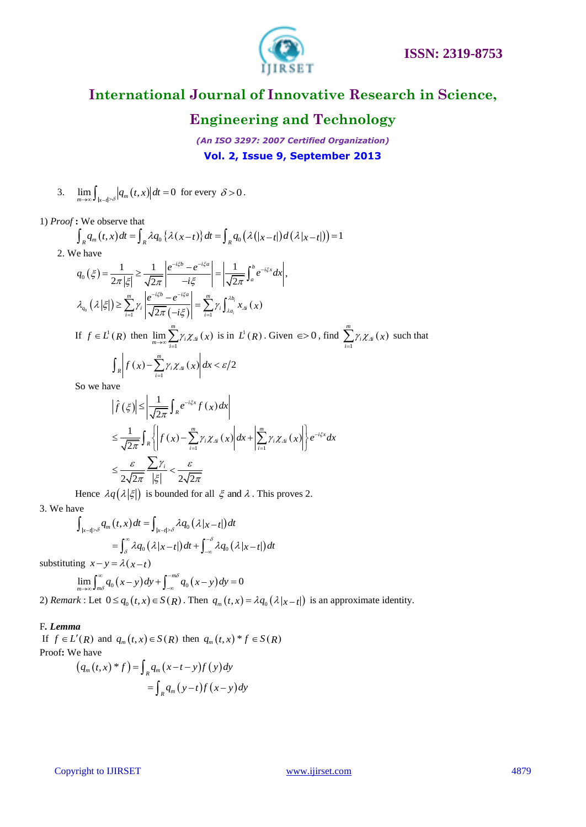

### **Engineering and Technology**

*(An ISO 3297: 2007 Certified Organization)* **Vol. 2, Issue 9, September 2013**

3.  $\lim_{m\to\infty}\int_{|x-t|>\delta}|q_m(t,x)|dt=0$  for every  $\delta>0$ .

1) *Proof* **:** We observe that

$$
\lim_{m \to \infty} \int_{|x-t| > \delta} |q_m(t, x)| dt = 0 \text{ for every } 0 > 0.
$$
  
\nProof: We observe that  
\n
$$
\int_R q_m(t, x) dt = \int_R \lambda q_0 \left\{ \lambda (x-t) \right\} dt = \int_R q_0 \left( \lambda (|x-t|) d(\lambda |x-t|) \right) = 1
$$
  
\n2. We have  
\n
$$
q_0(\xi) = \frac{1}{2\pi |\xi|} \ge \frac{1}{\sqrt{2\pi}} \left| \frac{e^{-i\xi b} - e^{-i\xi a}}{-i\xi} \right| = \left| \frac{1}{\sqrt{2\pi}} \int_a^b e^{-i\xi x} dx \right|,
$$
  
\n
$$
\lambda_{q_0}(\lambda |\xi|) \ge \sum_{i=1}^m \gamma_i \left| \frac{e^{-i\xi b} - e^{-i\xi a}}{\sqrt{2\pi} (-i\xi)} \right| = \sum_{i=1}^m \gamma_i \int_{\lambda a_i}^{\lambda b_i} x_{Ai}(x)
$$

If  $f \in L^1(R)$  then  $\lim_{x \to \infty} \sum_{i} \gamma_i \chi_{\mathcal{A}_i}(x)$ 1  $\lim_{m \to \infty}$  $\lim_{m\to\infty} \sum_{i=1}^{m} \gamma_i \chi_{\mathcal{A}_i}(x)$  is in  $L^1(R)$ . Given  $\epsilon > 0$ , find  $\sum_{i=1}^{m} \gamma_i \chi_{\mathcal{A}_i}(x)$ 1 *m*  $\sum_{i=1}^{n} \gamma_i \chi_{\Delta i}(x)$  such that  $(x)$  -  $\sum_{i} \gamma_{i} \chi_{j}(x)$  $\sum_{i=1}^{m} \gamma_i \chi_{\mathcal{N}}(x) dx < \varepsilon/2$  $\int_{R}$   $f(x) - \sum_{i=1}^{m} \gamma_{i} \chi_{Ai}(x) dx < \varepsilon$ 

So we have

$$
\left| \hat{f}(\xi) \right| \leq \left| \frac{1}{\sqrt{2\pi}} \int_{R} e^{-i\xi x} f(x) dx \right|
$$
  
\n
$$
\leq \frac{1}{\sqrt{2\pi}} \int_{R} \left\{ \left| f(x) - \sum_{i=1}^{m} \gamma_{i} \chi_{Ai}(x) \right| dx + \left| \sum_{i=1}^{m} \gamma_{i} \chi_{Ai}(x) \right| \right\} e^{-i\xi x} dx
$$
  
\n
$$
\leq \frac{\varepsilon}{2\sqrt{2\pi}} \frac{\sum \gamma_{i}}{|\xi|} < \frac{\varepsilon}{2\sqrt{2\pi}}
$$

Hence  $\lambda q(\lambda |\xi|)$  is bounded for all  $\xi$  and  $\lambda$ . This proves 2.

3. We have

$$
\begin{aligned} \n\mathcal{L} \mathcal{L}_{|x-t| > \delta} & q_m\left(t, x\right)dt = \int_{|x-t| > \delta} \lambda q_0\left(\lambda |x-t|\right)dt \\ \n& = \int_{\delta}^{\infty} \lambda q_0\left(\lambda |x-t|\right)dt + \int_{-\infty}^{-\delta} \lambda q_0\left(\lambda |x-t|\right)dt \n\end{aligned}
$$

substituting  $x - y = \lambda(x - t)$ <br>  $\int_{-\infty}^{\infty} (x - t) dt$ 

ng 
$$
x-y = \lambda(x-t)
$$
  
\n
$$
\lim_{m \to \infty} \int_{m\delta}^{\infty} q_0(x-y) dy + \int_{-\infty}^{-m\delta} q_0(x-y) dy = 0
$$

1

2) *Remark* : Let  $0 \leq q_0(t, x) \in S(R)$ . Then  $q_m(t, x) = \lambda q_0(\lambda|x-t|)$  is an approximate identity.

### F*. Lemma*

If  $f \in L'(R)$  and  $q_m(t, x) \in S(R)$  then  $q_m(t, x) * f \in S(R)$ Proof**:** We have

e have  
\n
$$
(q_m(t,x)^*f) = \int_R q_m(x-t-y)f(y)dy
$$
\n
$$
= \int_R q_m(y-t)f(x-y)dy
$$

### Copyright to IJIRSET [www.ijirset.com](http://www.ijirset.com/) 4879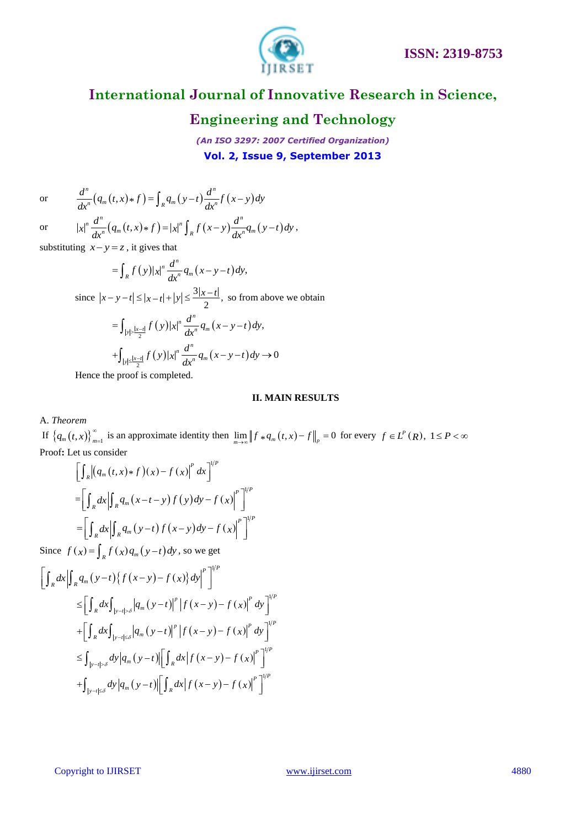

# **Engineering and Technology**

*(An ISO 3297: 2007 Certified Organization)* **Vol. 2, Issue 9, September 2013**

or

$$
\frac{d^n}{dx^n}(q_m(t,x)*f) = \int_R q_m(y-t) \frac{d^n}{dx^n} f(x-y) dy
$$
  

$$
|x|^n \frac{d^n}{dx^n}(q_m(t,x)*f) = |x|^n \int_R f(x-y) \frac{d^n}{dx^n} q_m(y-t) dy,
$$

or 
$$
|x|^n \frac{d^n}{dx^n} (q_m(t,x) * f) = |x|^n \int_R f(x-y) \frac{d^n}{dx^n} q_m(y-t) dy,
$$

substituting  $x - y = z$ , it gives that

$$
=\int_{R}f(y)|x|^{n}\frac{d^{n}}{dx^{n}}q_{m}(x-y-t)dy,
$$

since 
$$
|x - y - t| \le |x - t| + |y| \le \frac{3|x - t|}{2}
$$
, so from above we obtain  
\n
$$
= \int_{|y| > \frac{|x - t|}{2}} f(y)|x|^n \frac{d^n}{dx^n} q_m(x - y - t) dy,
$$
\n
$$
+ \int_{|y| \le \frac{|x - t|}{2}} f(y)|x|^n \frac{d^n}{dx^n} q_m(x - y - t) dy \to 0
$$

Hence the proof is completed.

### **II. MAIN RESULTS**

A. *Theorem*

If  $\left\{ q_m(t,x) \right\}_{m=1}^{\infty}$ is an approximate identity then  $\lim_{m\to\infty} ||f * q_m(t,x) - f||_p = 0$  for every  $f \in L^p(R)$ ,  $1 \leq P < \infty$ Proof**:** Let us consider

$$
\begin{aligned} & \left[ \int_{R} \left| \left( q_{m}(t,x) \ast f \right) (x) - f \left( x \right) \right|^{p} dx \right]^{1/P} \\ &= \left[ \int_{R} dx \left| \int_{R} q_{m}(x-t-y) f \left( y \right) dy - f \left( x \right) \right|^{p} \right]^{1/P} \\ &= \left[ \int_{R} dx \left| \int_{R} q_{m}(y-t) f \left( x-y \right) dy - f \left( x \right) \right|^{p} \right]^{1/P} \end{aligned}
$$

Since  $f(x) = \int_{R} f(x) q_{m}(y-t) dy$ , so we get

$$
\left[\int_{R} dx \left| \int_{R} q_{m} (y-t) \{ f(x-y)-f(x) \} dy \right|^{p} \right]^{1/p}
$$
\n
$$
\leq \left[ \int_{R} dx \int_{|y-t| > \delta} \left| q_{m} (y-t) \right|^{p} \left| f(x-y)-f(x) \right|^{p} dy \right]^{1/p}
$$
\n
$$
+ \left[ \int_{R} dx \int_{|y-t| \leq \delta} \left| q_{m} (y-t) \right|^{p} \left| f(x-y)-f(x) \right|^{p} dy \right]^{1/p}
$$
\n
$$
\leq \int_{|y-t| > \delta} dy \left| q_{m} (y-t) \right| \left[ \int_{R} dx \left| f(x-y)-f(x) \right|^{p} \right]^{1/p}
$$
\n
$$
+ \int_{|y-t| \leq \delta} dy \left| q_{m} (y-t) \right| \left[ \int_{R} dx \left| f(x-y)-f(x) \right|^{p} \right]^{1/p}
$$

Copyright to IJIRSET [www.ijirset.com](http://www.ijirset.com/) 4880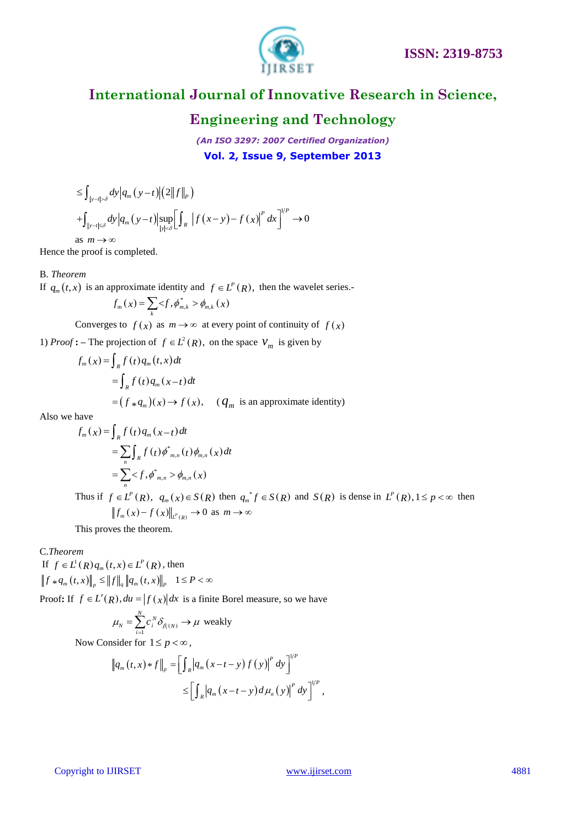

# **Engineering and Technology**

*(An ISO 3297: 2007 Certified Organization)* **Vol. 2, Issue 9, September 2013**

$$
\leq \int_{|y-t| > \delta} dy \Big| q_m(y-t) \Big| (2 \|f\|_P)
$$
  
+ 
$$
\int_{|y-t| \leq \delta} dy \Big| q_m(y-t) \Big| \sup_{|y| < \delta} \Big[ \int_R |f(x-y) - f(x)|^p dx \Big]^{1/p} \to 0
$$
  
as  $m \to \infty$ 

Hence the proof is completed.

### B. *Theorem*

If 
$$
q_m(t, x)
$$
 is an approximate identity and  $f \in L^P(R)$ , then the wavelet series.

$$
f_m(x) = \sum_{k} \langle f, \phi_{m,k}^* \rangle \phi_{m,k}(x)
$$

Converges to  $f(x)$  as  $m \to \infty$  at every point of continuity of  $f(x)$ 

1) *Proof* : – The projection of  $f \in L^2(R)$ , on the space  $V_m$  is given by

$$
f_m(x) = \int_R f(t) q_m(t, x) dt
$$
  
= 
$$
\int_R f(t) q_m(x-t) dt
$$
  
= 
$$
(f * q_m)(x) \rightarrow f(x), \quad (q_m \text{ is an approximate identity})
$$

Also we have

$$
f_m(x) = \int_R f(t) q_m(x-t) dt
$$
  
=  $\sum_n \int_R f(t) \phi_{m,n}^*(t) \phi_{m,n}^*(x) dt$   
=  $\sum_n  \phi_{m,n}(x)$ 

Thus if  $f \in L^P(R)$ ,  $q_m(x) \in S(R)$  then  $q_m^* f \in S(R)$  and  $S(R)$  is dense in  $L^P(R)$ ,  $1 \le p < \infty$  then  $f_m(x) - f(x)\big|_{L^p(R)} \to 0 \text{ as } m \to \infty$ 

This proves the theorem.

### C.*Theorem*

If  $f \in L^1(R) q_m(t, x) \in L^P(R)$ , then  $\int f \in L^{p}(R) q_m(t, x) \in L^{p}(R)$ , then<br> $\int f * q_m(t, x) \|_{p} \leq ||f||_{q} ||q_m(t, x)||_{p} 1 \leq P < \infty$ 

Proof: If  $f \in L'(R)$ ,  $du = |f(x)|dx$  is a finite Borel measure, so we have

$$
\mu_N = \sum_{i=1}^N c_i^N \delta_{\beta_i(N)} \to \mu \text{ weakly}
$$

Now Consider for  $1 \le p < \infty$ ,

$$
\|q_m(t,x)*f\|_p = \left[\int_R |q_m(x-t-y)f(y)|^p dy\right]^{1/p}
$$
  

$$
\leq \left[\int_R |q_m(x-t-y) d\mu_n(y)|^p dy\right]^{1/p},
$$